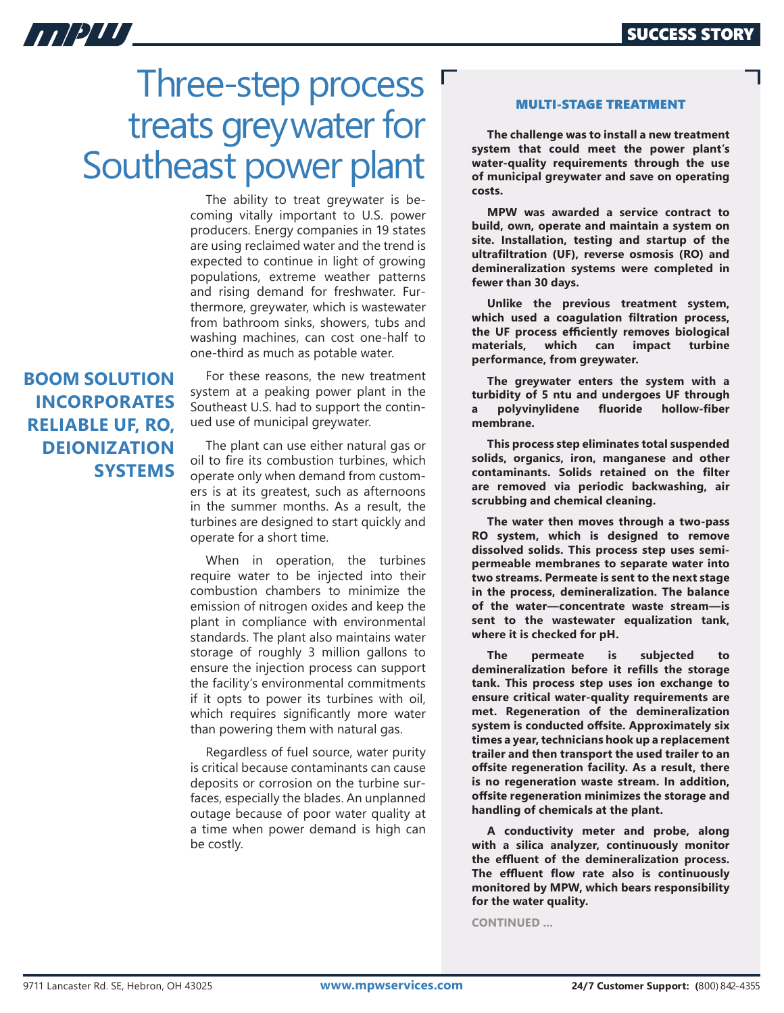# Three-step process treats greywater for Southeast power plant

The ability to treat greywater is becoming vitally important to U.S. power producers. Energy companies in 19 states are using reclaimed water and the trend is expected to continue in light of growing populations, extreme weather patterns and rising demand for freshwater. Furthermore, greywater, which is wastewater from bathroom sinks, showers, tubs and washing machines, can cost one-half to one-third as much as potable water.

## **BOOM SOLUTION INCORPORATES RELIABLE UF, RO, DEIONIZATION SYSTEMS**

11/2/7

For these reasons, the new treatment system at a peaking power plant in the Southeast U.S. had to support the continued use of municipal greywater.

The plant can use either natural gas or oil to fire its combustion turbines, which operate only when demand from customers is at its greatest, such as afternoons in the summer months. As a result, the turbines are designed to start quickly and operate for a short time.

When in operation, the turbines require water to be injected into their combustion chambers to minimize the emission of nitrogen oxides and keep the plant in compliance with environmental standards. The plant also maintains water storage of roughly 3 million gallons to ensure the injection process can support the facility's environmental commitments if it opts to power its turbines with oil, which requires significantly more water than powering them with natural gas.

Regardless of fuel source, water purity is critical because contaminants can cause deposits or corrosion on the turbine surfaces, especially the blades. An unplanned outage because of poor water quality at a time when power demand is high can be costly.

#### MULTI-STAGE TREATMENT

**The challenge was to install a new treatment system that could meet the power plant's water-quality requirements through the use of municipal greywater and save on operating costs.**

**MPW was awarded a service contract to build, own, operate and maintain a system on site. Installation, testing and startup of the ultrafiltration (UF), reverse osmosis (RO) and demineralization systems were completed in fewer than 30 days.**

**Unlike the previous treatment system, which used a coagulation filtration process, the UF process efficiently removes biological**  materials, which can impact **performance, from greywater.**

**The greywater enters the system with a turbidity of 5 ntu and undergoes UF through a polyvinylidene fluoride hollow-fiber membrane.** 

**This process step eliminates total suspended solids, organics, iron, manganese and other contaminants. Solids retained on the filter are removed via periodic backwashing, air scrubbing and chemical cleaning.**

**The water then moves through a two-pass RO system, which is designed to remove dissolved solids. This process step uses semipermeable membranes to separate water into two streams. Permeate is sent to the next stage in the process, demineralization. The balance of the water—concentrate waste stream—is sent to the wastewater equalization tank, where it is checked for pH.** 

**The permeate is subjected to demineralization before it refills the storage tank. This process step uses ion exchange to ensure critical water-quality requirements are met. Regeneration of the demineralization system is conducted offsite. Approximately six times a year, technicians hook up a replacement trailer and then transport the used trailer to an offsite regeneration facility. As a result, there is no regeneration waste stream. In addition, offsite regeneration minimizes the storage and handling of chemicals at the plant.** 

**A conductivity meter and probe, along with a silica analyzer, continuously monitor the effluent of the demineralization process. The effluent flow rate also is continuously monitored by MPW, which bears responsibility for the water quality.** 

**CONTINUED ...**